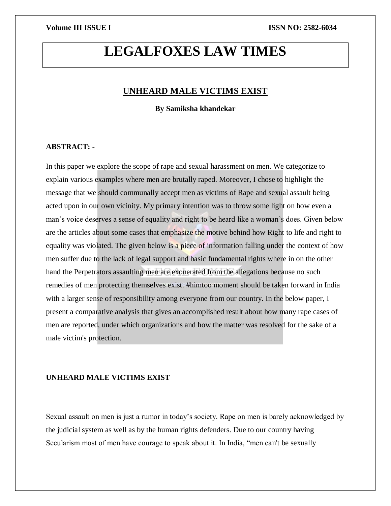# **LEGALFOXES LAW TIMES**

### **UNHEARD MALE VICTIMS EXIST**

**By Samiksha khandekar**

#### **ABSTRACT: -**

In this paper we explore the scope of rape and sexual harassment on men. We categorize to explain various examples where men are brutally raped. Moreover, I chose to highlight the message that we should communally accept men as victims of Rape and sexual assault being acted upon in our own vicinity. My primary intention was to throw some light on how even a man's voice deserves a sense of equality and right to be heard like a woman's does. Given below are the articles about some cases that emphasize the motive behind how Right to life and right to equality was violated. The given below is a piece of information falling under the context of how men suffer due to the lack of legal support and basic fundamental rights where in on the other hand the Perpetrators assaulting men are exonerated from the allegations because no such remedies of men protecting themselves exist. #himtoo moment should be taken forward in India with a larger sense of responsibility among everyone from our country. In the below paper, I present a comparative analysis that gives an accomplished result about how many rape cases of men are reported, under which organizations and how the matter was resolved for the sake of a male victim's protection.

#### **UNHEARD MALE VICTIMS EXIST**

Sexual assault on men is just a rumor in today's society. Rape on men is barely acknowledged by the judicial system as well as by the human rights defenders. Due to our country having Secularism most of men have courage to speak about it. In India, "men can't be sexually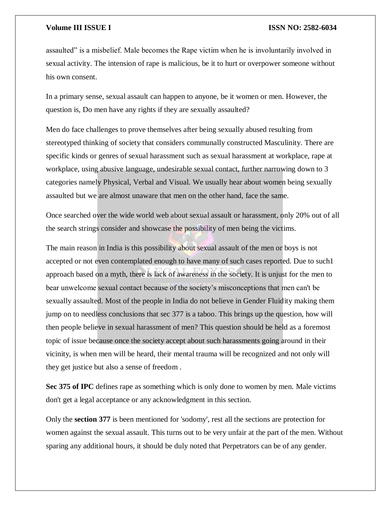assaulted" is a misbelief. Male becomes the Rape victim when he is involuntarily involved in sexual activity. The intension of rape is malicious, be it to hurt or overpower someone without his own consent.

In a primary sense, sexual assault can happen to anyone, be it women or men. However, the question is, Do men have any rights if they are sexually assaulted?

Men do face challenges to prove themselves after being sexually abused resulting from stereotyped thinking of society that considers communally constructed Masculinity. There are specific kinds or genres of sexual harassment such as sexual harassment at workplace, rape at workplace, using abusive language, undesirable sexual contact, further narrowing down to 3 categories namely Physical, Verbal and Visual. We usually hear about women being sexually assaulted but we are almost unaware that men on the other hand, face the same.

Once searched over the wide world web about sexual assault or harassment, only 20% out of all the search strings consider and showcase the possibility of men being the victims.

The main reason in India is this possibility about sexual assault of the men or boys is not accepted or not even contemplated enough to have many of such cases reported. Due to such1 approach based on a myth, there is lack of awareness in the society. It is unjust for the men to bear unwelcome sexual contact because of the society's misconceptions that men can't be sexually assaulted. Most of the people in India do not believe in Gender Fluidity making them jump on to needless conclusions that sec 377 is a taboo. This brings up the question, how will then people believe in sexual harassment of men? This question should be held as a foremost topic of issue because once the society accept about such harassments going around in their vicinity, is when men will be heard, their mental trauma will be recognized and not only will they get justice but also a sense of freedom .

**Sec 375 of IPC** defines rape as something which is only done to women by men. Male victims don't get a legal acceptance or any acknowledgment in this section.

Only the **section 377** is been mentioned for 'sodomy', rest all the sections are protection for women against the sexual assault. This turns out to be very unfair at the part of the men. Without sparing any additional hours, it should be duly noted that Perpetrators can be of any gender.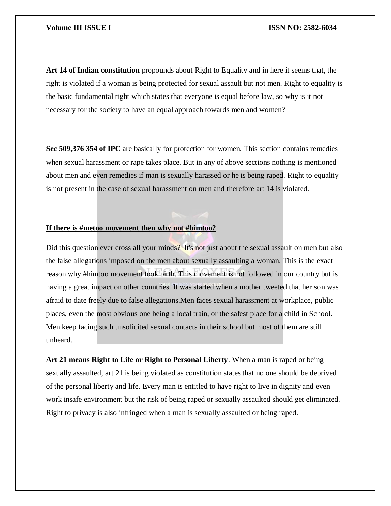**Art 14 of Indian constitution** propounds about Right to Equality and in here it seems that, the right is violated if a woman is being protected for sexual assault but not men. Right to equality is the basic fundamental right which states that everyone is equal before law, so why is it not necessary for the society to have an equal approach towards men and women?

**Sec 509,376 354 of IPC** are basically for protection for women. This section contains remedies when sexual harassment or rape takes place. But in any of above sections nothing is mentioned about men and even remedies if man is sexually harassed or he is being raped. Right to equality is not present in the case of sexual harassment on men and therefore art 14 is violated.

#### **If there is #metoo movement then why not #himtoo?**

Did this question ever cross all your minds? It's not just about the sexual assault on men but also the false allegations imposed on the men about sexually assaulting a woman. This is the exact reason why #himtoo movement took birth. This movement is not followed in our country but is having a great impact on other countries. It was started when a mother tweeted that her son was afraid to date freely due to false allegations.Men faces sexual harassment at workplace, public places, even the most obvious one being a local train, or the safest place for a child in School. Men keep facing such unsolicited sexual contacts in their school but most of them are still unheard.

**Art 21 means Right to Life or Right to Personal Liberty**. When a man is raped or being sexually assaulted, art 21 is being violated as constitution states that no one should be deprived of the personal liberty and life. Every man is entitled to have right to live in dignity and even work insafe environment but the risk of being raped or sexually assaulted should get eliminated. Right to privacy is also infringed when a man is sexually assaulted or being raped.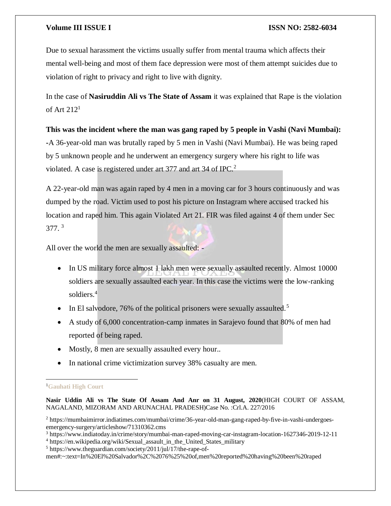Due to sexual harassment the victims usually suffer from mental trauma which affects their mental well-being and most of them face depression were most of them attempt suicides due to violation of right to privacy and right to live with dignity.

In the case of **Nasiruddin Ali vs The State of Assam** it was explained that Rape is the violation of Art  $212<sup>1</sup>$ 

**This was the incident where the man was gang raped by 5 people in Vashi (Navi Mumbai): -**A 36-year-old man was brutally raped by 5 men in Vashi (Navi Mumbai). He was being raped by 5 unknown people and he underwent an emergency surgery where his right to life was violated. A case is registered under art 377 and art 34 of IPC.<sup>2</sup>

A 22-year-old man was again raped by 4 men in a moving car for 3 hours continuously and was dumped by the road. Victim used to post his picture on Instagram where accused tracked his location and raped him. This again Violated Art 21. FIR was filed against 4 of them under Sec  $377.$ <sup>3</sup>

All over the world the men are sexually assaulted: -

- In US military force almost 1 lakh men were sexually assaulted recently. Almost 10000 soldiers are sexually assaulted each year. In this case the victims were the low-ranking soldiers.<sup>4</sup>
- In El salvodore, 76% of the political prisoners were sexually assaulted.<sup>5</sup>
- A study of 6,000 concentration-camp inmates in Sarajevo found that 80% of men had reported of being raped.
- Mostly, 8 men are sexually assaulted every hour..
- In national crime victimization survey 38% casualty are men.

#### $\overline{a}$ <sup>1</sup>**Gauhati High Court**

**Nasir Uddin Ali vs The State Of Assam And Anr on 31 August, 2020**(HIGH COURT OF ASSAM, NAGALAND, MIZORAM AND ARUNACHAL PRADESH)Case No. :Crl.A. 227/2016

<sup>2</sup> https://mumbaimirror.indiatimes.com/mumbai/crime/36-year-old-man-gang-raped-by-five-in-vashi-undergoesemergency-surgery/articleshow/71310362.cms

<sup>3</sup> https://www.indiatoday.in/crime/story/mumbai-man-raped-moving-car-instagram-location-1627346-2019-12-11

<sup>4</sup> https://en.wikipedia.org/wiki/Sexual assault in the United States military

<sup>5</sup> https://www.theguardian.com/society/2011/jul/17/the-rape-of-

men#:~:text=In%20El%20Salvador%2C%2076%25%20of,men%20reported%20having%20been%20raped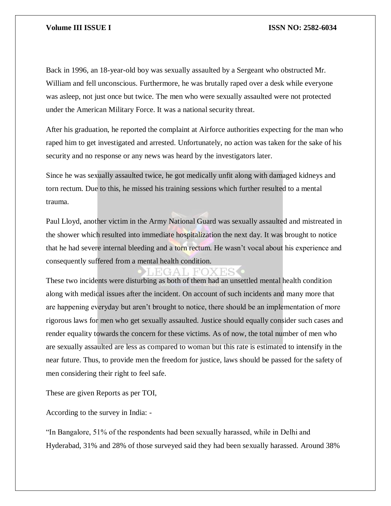Back in 1996, an 18-year-old boy was sexually assaulted by a Sergeant who obstructed Mr. William and fell unconscious. Furthermore, he was brutally raped over a desk while everyone was asleep, not just once but twice. The men who were sexually assaulted were not protected under the American Military Force. It was a national security threat.

After his graduation, he reported the complaint at Airforce authorities expecting for the man who raped him to get investigated and arrested. Unfortunately, no action was taken for the sake of his security and no response or any news was heard by the investigators later.

Since he was sexually assaulted twice, he got medically unfit along with damaged kidneys and torn rectum. Due to this, he missed his training sessions which further resulted to a mental trauma.

Paul Lloyd, another victim in the Army National Guard was sexually assaulted and mistreated in the shower which resulted into immediate hospitalization the next day. It was brought to notice that he had severe internal bleeding and a torn rectum. He wasn't vocal about his experience and consequently suffered from a mental health condition.

### EGAL FOXES

These two incidents were disturbing as both of them had an unsettled mental health condition along with medical issues after the incident. On account of such incidents and many more that are happening everyday but aren't brought to notice, there should be an implementation of more rigorous laws for men who get sexually assaulted. Justice should equally consider such cases and render equality towards the concern for these victims. As of now, the total number of men who are sexually assaulted are less as compared to woman but this rate is estimated to intensify in the near future. Thus, to provide men the freedom for justice, laws should be passed for the safety of men considering their right to feel safe.

These are given Reports as per TOI,

According to the survey in India: -

"In Bangalore, 51% of the respondents had been sexually harassed, while in Delhi and Hyderabad, 31% and 28% of those surveyed said they had been sexually harassed. Around 38%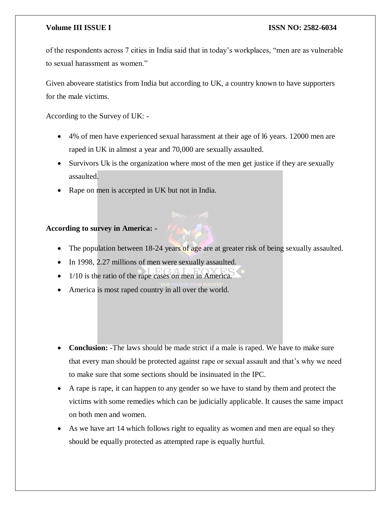of the respondents across 7 cities in India said that in today's workplaces, "men are as vulnerable to sexual harassment as women."

Given aboveare statistics from India but according to UK, a country known to have supporters for the male victims.

According to the Survey of UK: -

- 4% of men have experienced sexual harassment at their age of l6 years. 12000 men are raped in UK in almost a year and 70,000 are sexually assaulted.
- Survivors Uk is the organization where most of the men get justice if they are sexually assaulted.
- Rape on men is accepted in UK but not in India.

### **According to survey in America: -**

- The population between 18-24 years of age are at greater risk of being sexually assaulted.
- In 1998, 2.27 millions of men were sexually assaulted.
- 1/10 is the ratio of the rape cases on men in America.
- America is most raped country in all over the world.
- **Conclusion:** -The laws should be made strict if a male is raped. We have to make sure that every man should be protected against rape or sexual assault and that's why we need to make sure that some sections should be insinuated in the IPC.
- A rape is rape, it can happen to any gender so we have to stand by them and protect the victims with some remedies which can be judicially applicable. It causes the same impact on both men and women.
- As we have art 14 which follows right to equality as women and men are equal so they should be equally protected as attempted rape is equally hurtful.